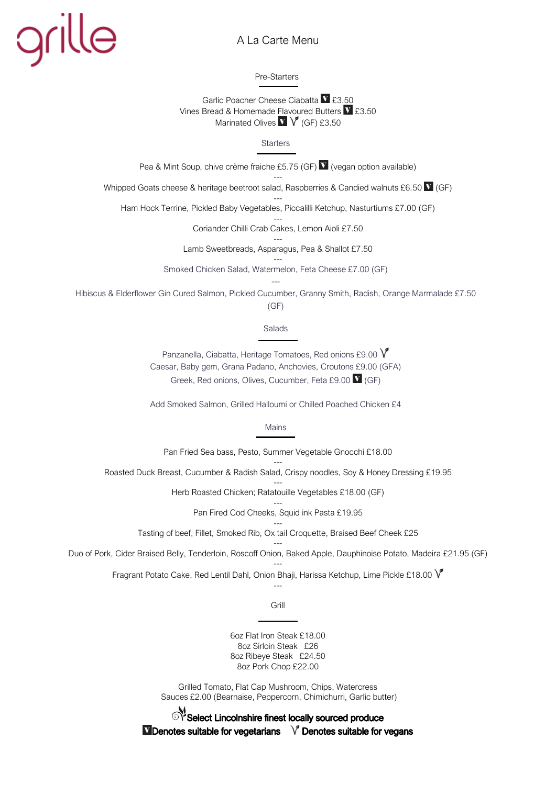## grille

## A La Carte Menu

Pre-Starters

Garlic Poacher Cheese Ciabatta V £3.50 Vines Bread & Homemade Flavoured Butters  $\blacksquare$  £3.50 Marinated Olives  $V$   $V$  (GF) £3.50

**Starters** 

Pea & Mint Soup, chive crème fraiche £5.75 (GF) V (vegan option available)

--- Whipped Goats cheese & heritage beetroot salad, Raspberries & Candied walnuts £6.50  $\overline{V}$  (GF)

--- Ham Hock Terrine, Pickled Baby Vegetables, Piccalilli Ketchup, Nasturtiums £7.00 (GF)

> --- Coriander Chilli Crab Cakes, Lemon Aioli £7.50

--- Lamb Sweetbreads, Asparagus, Pea & Shallot £7.50

--- Smoked Chicken Salad, Watermelon, Feta Cheese £7.00 (GF) ---

Hibiscus & Elderflower Gin Cured Salmon, Pickled Cucumber, Granny Smith, Radish, Orange Marmalade £7.50 (GF)

Salads

Panzanella, Ciabatta, Heritage Tomatoes, Red onions £9,00  $\sqrt{\ }$ Caesar, Baby gem, Grana Padano, Anchovies, Croutons £9.00 (GFA) Greek, Red onions, Olives, Cucumber, Feta £9.00  $\mathbf{V}$  (GF)

Add Smoked Salmon, Grilled Halloumi or Chilled Poached Chicken £4

Mains

Pan Fried Sea bass, Pesto, Summer Vegetable Gnocchi £18.00

--- Roasted Duck Breast, Cucumber & Radish Salad, Crispy noodles, Soy & Honey Dressing £19.95

> --- Herb Roasted Chicken; Ratatouille Vegetables £18.00 (GF)

> > --- Pan Fired Cod Cheeks, Squid ink Pasta £19.95

--- Tasting of beef, Fillet, Smoked Rib, Ox tail Croquette, Braised Beef Cheek £25

--- Duo of Pork, Cider Braised Belly, Tenderloin, Roscoff Onion, Baked Apple, Dauphinoise Potato, Madeira £21.95 (GF)

> --- Fragrant Potato Cake, Red Lentil Dahl, Onion Bhaji, Harissa Ketchup, Lime Pickle £18.00  $\sqrt{\ }$ ---

> > Grill

6oz Flat Iron Steak £18.00 8oz Sirloin Steak £26 8oz Ribeye Steak £24.50 8oz Pork Chop £22.00

Grilled Tomato, Flat Cap Mushroom, Chips, Watercress Sauces £2.00 (Bearnaise, Peppercorn, Chimichurri, Garlic butter)

Select Lincolnshire finest locally sourced produce  $\blacksquare$  Denotes suitable for vegetarians  $\lor$  Denotes suitable for vegans